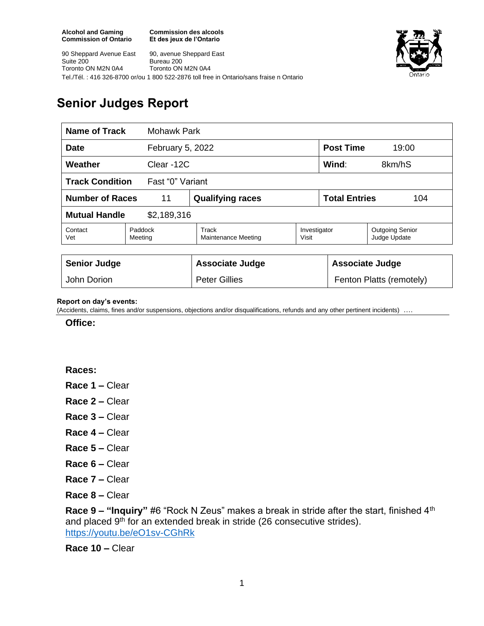**Commission des alcools Et des jeux de l'Ontario**



90 Sheppard Avenue East Suite 200 Toronto ON M2N 0A4 90, avenue Sheppard East Bureau 200 Toronto ON M2N 0A4 Tel./Tél. : 416 326-8700 or/ou 1 800 522-2876 toll free in Ontario/sans fraise n Ontario

## **Senior Judges Report**

| Name of Track<br><b>Mohawk Park</b>        |                    |                              |                       |                             |                                        |  |
|--------------------------------------------|--------------------|------------------------------|-----------------------|-----------------------------|----------------------------------------|--|
| February 5, 2022<br><b>Date</b>            |                    |                              |                       | <b>Post Time</b><br>19:00   |                                        |  |
| Weather<br>Clear -12C                      |                    |                              |                       | Wind:<br>8km/hS             |                                        |  |
| <b>Track Condition</b><br>Fast "0" Variant |                    |                              |                       |                             |                                        |  |
| <b>Number of Races</b><br>11               |                    | <b>Qualifying races</b>      |                       | <b>Total Entries</b><br>104 |                                        |  |
| <b>Mutual Handle</b><br>\$2,189,316        |                    |                              |                       |                             |                                        |  |
| Contact<br>Vet                             | Paddock<br>Meeting | Track<br>Maintenance Meeting | Investigator<br>Visit |                             | <b>Outgoing Senior</b><br>Judge Update |  |
|                                            |                    |                              |                       |                             |                                        |  |
| <b>Senior Judge</b>                        |                    | <b>Associate Judge</b>       |                       | <b>Associate Judge</b>      |                                        |  |
| John Dorion                                |                    | <b>Peter Gillies</b>         |                       |                             | Fenton Platts (remotely)               |  |

## **Report on day's events:**

(Accidents, claims, fines and/or suspensions, objections and/or disqualifications, refunds and any other pertinent incidents) ….

**Office:**

**Races:** 

- **Race 1 –** Clear
- **Race 2 –** Clear
- **Race 3 –** Clear
- **Race 4 –** Clear
- **Race 5 –** Clear
- **Race 6 –** Clear
- **Race 7 –** Clear
- **Race 8 –** Clear

**Race 9 – "Inquiry"** #6 "Rock N Zeus" makes a break in stride after the start, finished 4th and placed 9<sup>th</sup> for an extended break in stride (26 consecutive strides). <https://youtu.be/eO1sv-CGhRk>

**Race 10 –** Clear